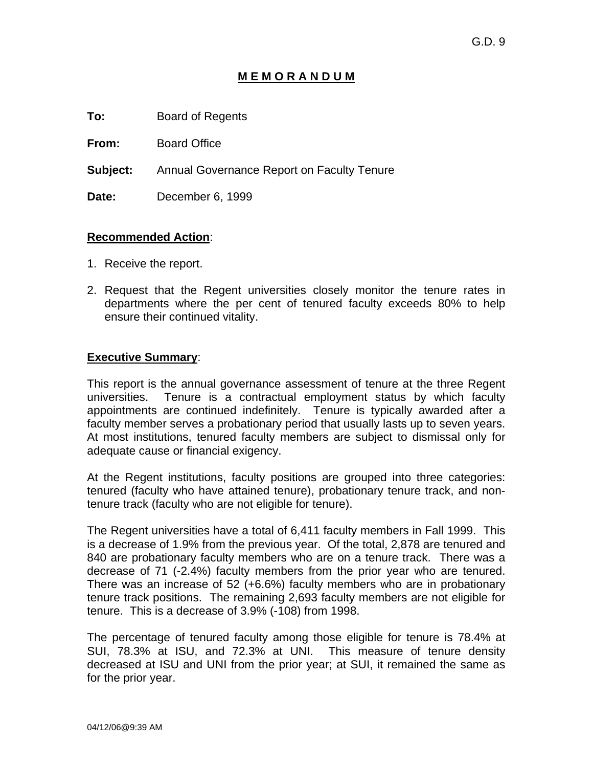# **M E M O R A N D U M**

**To:** Board of Regents

**From:** Board Office

**Subject:** Annual Governance Report on Faculty Tenure

**Date:** December 6, 1999

#### **Recommended Action**:

- 1. Receive the report.
- 2. Request that the Regent universities closely monitor the tenure rates in departments where the per cent of tenured faculty exceeds 80% to help ensure their continued vitality.

### **Executive Summary**:

This report is the annual governance assessment of tenure at the three Regent universities. Tenure is a contractual employment status by which faculty appointments are continued indefinitely. Tenure is typically awarded after a faculty member serves a probationary period that usually lasts up to seven years. At most institutions, tenured faculty members are subject to dismissal only for adequate cause or financial exigency.

At the Regent institutions, faculty positions are grouped into three categories: tenured (faculty who have attained tenure), probationary tenure track, and nontenure track (faculty who are not eligible for tenure).

The Regent universities have a total of 6,411 faculty members in Fall 1999. This is a decrease of 1.9% from the previous year. Of the total, 2,878 are tenured and 840 are probationary faculty members who are on a tenure track. There was a decrease of 71 (-2.4%) faculty members from the prior year who are tenured. There was an increase of 52 (+6.6%) faculty members who are in probationary tenure track positions. The remaining 2,693 faculty members are not eligible for tenure. This is a decrease of 3.9% (-108) from 1998.

The percentage of tenured faculty among those eligible for tenure is 78.4% at SUI, 78.3% at ISU, and 72.3% at UNI. This measure of tenure density decreased at ISU and UNI from the prior year; at SUI, it remained the same as for the prior year.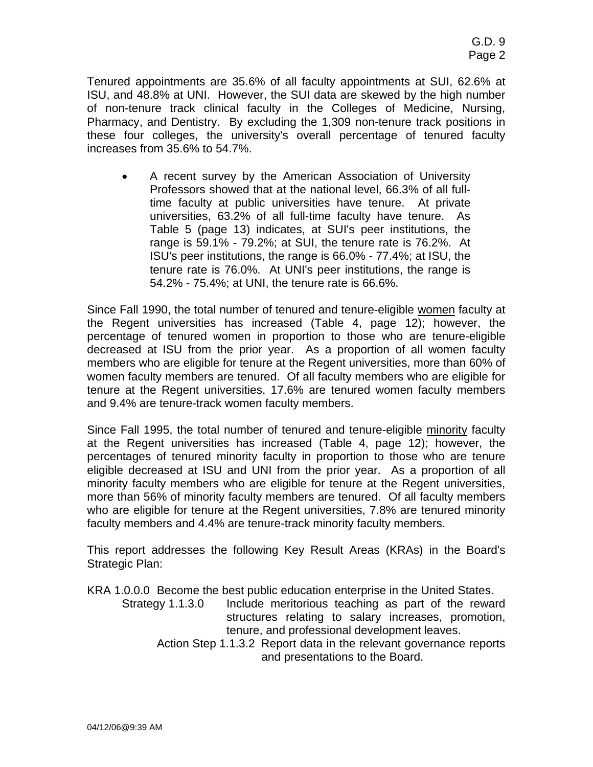Tenured appointments are 35.6% of all faculty appointments at SUI, 62.6% at ISU, and 48.8% at UNI. However, the SUI data are skewed by the high number of non-tenure track clinical faculty in the Colleges of Medicine, Nursing, Pharmacy, and Dentistry. By excluding the 1,309 non-tenure track positions in these four colleges, the university's overall percentage of tenured faculty increases from 35.6% to 54.7%.

• A recent survey by the American Association of University Professors showed that at the national level, 66.3% of all fulltime faculty at public universities have tenure. At private universities, 63.2% of all full-time faculty have tenure. As Table 5 (page 13) indicates, at SUI's peer institutions, the range is 59.1% - 79.2%; at SUI, the tenure rate is 76.2%. At ISU's peer institutions, the range is 66.0% - 77.4%; at ISU, the tenure rate is 76.0%. At UNI's peer institutions, the range is 54.2% - 75.4%; at UNI, the tenure rate is 66.6%.

Since Fall 1990, the total number of tenured and tenure-eligible women faculty at the Regent universities has increased (Table 4, page 12); however, the percentage of tenured women in proportion to those who are tenure-eligible decreased at ISU from the prior year. As a proportion of all women faculty members who are eligible for tenure at the Regent universities, more than 60% of women faculty members are tenured. Of all faculty members who are eligible for tenure at the Regent universities, 17.6% are tenured women faculty members and 9.4% are tenure-track women faculty members.

Since Fall 1995, the total number of tenured and tenure-eligible minority faculty at the Regent universities has increased (Table 4, page 12); however, the percentages of tenured minority faculty in proportion to those who are tenure eligible decreased at ISU and UNI from the prior year. As a proportion of all minority faculty members who are eligible for tenure at the Regent universities, more than 56% of minority faculty members are tenured. Of all faculty members who are eligible for tenure at the Regent universities, 7.8% are tenured minority faculty members and 4.4% are tenure-track minority faculty members.

This report addresses the following Key Result Areas (KRAs) in the Board's Strategic Plan:

KRA 1.0.0.0 Become the best public education enterprise in the United States. Strategy 1.1.3.0 Include meritorious teaching as part of the reward structures relating to salary increases, promotion, tenure, and professional development leaves. Action Step 1.1.3.2 Report data in the relevant governance reports and presentations to the Board.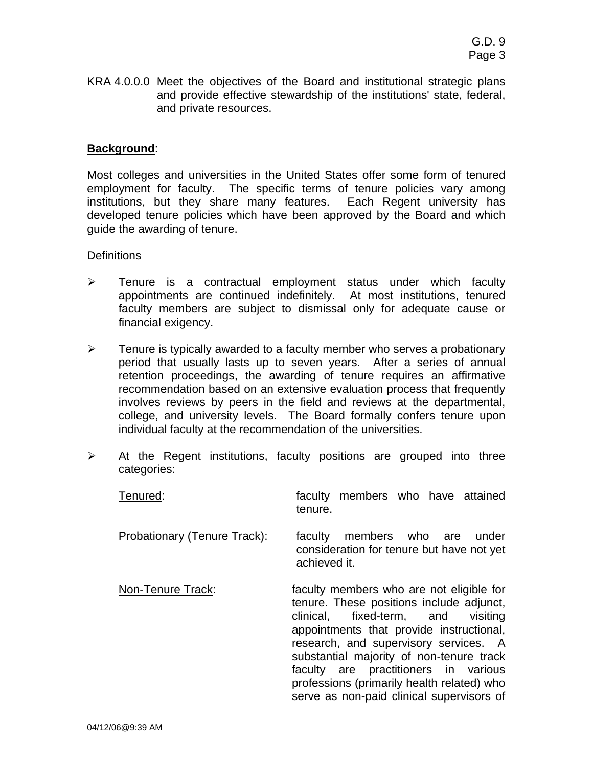KRA 4.0.0.0 Meet the objectives of the Board and institutional strategic plans and provide effective stewardship of the institutions' state, federal, and private resources.

#### **Background**:

Most colleges and universities in the United States offer some form of tenured employment for faculty. The specific terms of tenure policies vary among institutions, but they share many features. Each Regent university has developed tenure policies which have been approved by the Board and which guide the awarding of tenure.

#### **Definitions**

- ¾ Tenure is a contractual employment status under which faculty appointments are continued indefinitely. At most institutions, tenured faculty members are subject to dismissal only for adequate cause or financial exigency.
- $\triangleright$  Tenure is typically awarded to a faculty member who serves a probationary period that usually lasts up to seven years. After a series of annual retention proceedings, the awarding of tenure requires an affirmative recommendation based on an extensive evaluation process that frequently involves reviews by peers in the field and reviews at the departmental, college, and university levels. The Board formally confers tenure upon individual faculty at the recommendation of the universities.
- $\triangleright$  At the Regent institutions, faculty positions are grouped into three categories:

| Tenured:                     | faculty members who have attained<br>tenure.                                                                                                                                                                                                                                                                                                                                                   |  |  |  |
|------------------------------|------------------------------------------------------------------------------------------------------------------------------------------------------------------------------------------------------------------------------------------------------------------------------------------------------------------------------------------------------------------------------------------------|--|--|--|
| Probationary (Tenure Track): | faculty members who are<br>under<br>consideration for tenure but have not yet<br>achieved it.                                                                                                                                                                                                                                                                                                  |  |  |  |
| Non-Tenure Track:            | faculty members who are not eligible for<br>tenure. These positions include adjunct,<br>clinical, fixed-term, and visiting<br>appointments that provide instructional,<br>research, and supervisory services. A<br>substantial majority of non-tenure track<br>faculty are practitioners in various<br>professions (primarily health related) who<br>serve as non-paid clinical supervisors of |  |  |  |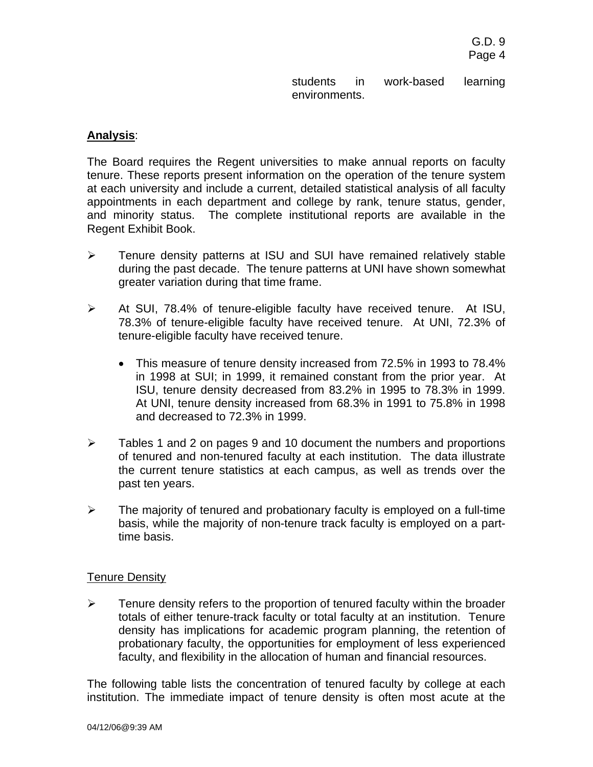students in work-based learning environments.

#### **Analysis**:

The Board requires the Regent universities to make annual reports on faculty tenure. These reports present information on the operation of the tenure system at each university and include a current, detailed statistical analysis of all faculty appointments in each department and college by rank, tenure status, gender, and minority status. The complete institutional reports are available in the Regent Exhibit Book.

- ¾ Tenure density patterns at ISU and SUI have remained relatively stable during the past decade. The tenure patterns at UNI have shown somewhat greater variation during that time frame.
- ¾ At SUI, 78.4% of tenure-eligible faculty have received tenure. At ISU, 78.3% of tenure-eligible faculty have received tenure. At UNI, 72.3% of tenure-eligible faculty have received tenure.
	- This measure of tenure density increased from 72.5% in 1993 to 78.4% in 1998 at SUI; in 1999, it remained constant from the prior year. At ISU, tenure density decreased from 83.2% in 1995 to 78.3% in 1999. At UNI, tenure density increased from 68.3% in 1991 to 75.8% in 1998 and decreased to 72.3% in 1999.
- $\triangleright$  Tables 1 and 2 on pages 9 and 10 document the numbers and proportions of tenured and non-tenured faculty at each institution. The data illustrate the current tenure statistics at each campus, as well as trends over the past ten years.
- $\triangleright$  The majority of tenured and probationary faculty is employed on a full-time basis, while the majority of non-tenure track faculty is employed on a parttime basis.

#### Tenure Density

 $\triangleright$  Tenure density refers to the proportion of tenured faculty within the broader totals of either tenure-track faculty or total faculty at an institution. Tenure density has implications for academic program planning, the retention of probationary faculty, the opportunities for employment of less experienced faculty, and flexibility in the allocation of human and financial resources.

The following table lists the concentration of tenured faculty by college at each institution. The immediate impact of tenure density is often most acute at the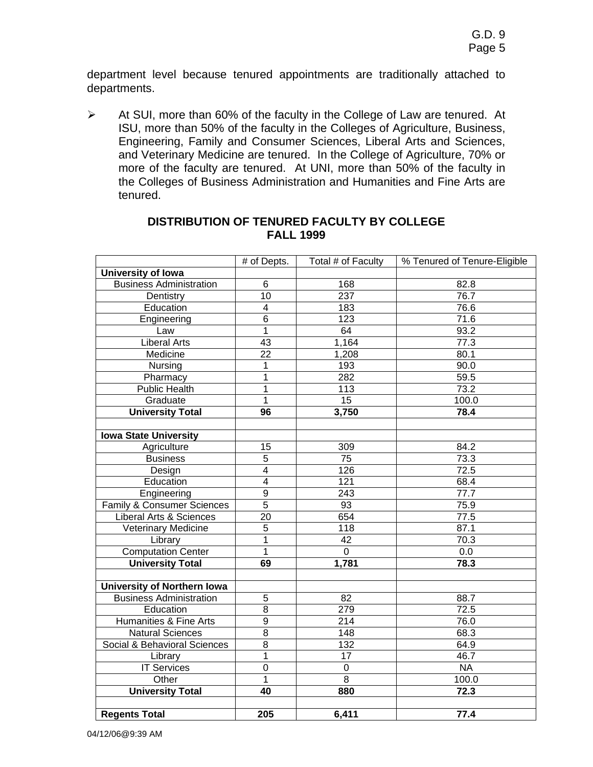department level because tenured appointments are traditionally attached to departments.

¾ At SUI, more than 60% of the faculty in the College of Law are tenured. At ISU, more than 50% of the faculty in the Colleges of Agriculture, Business, Engineering, Family and Consumer Sciences, Liberal Arts and Sciences, and Veterinary Medicine are tenured. In the College of Agriculture, 70% or more of the faculty are tenured. At UNI, more than 50% of the faculty in the Colleges of Business Administration and Humanities and Fine Arts are tenured.

|                                       | # of Depts.     | Total # of Faculty | % Tenured of Tenure-Eligible |  |  |
|---------------------------------------|-----------------|--------------------|------------------------------|--|--|
| University of Iowa                    |                 |                    |                              |  |  |
| <b>Business Administration</b>        | 6               | 168                | 82.8                         |  |  |
| Dentistry                             | $\overline{10}$ | 237                | 76.7                         |  |  |
| Education                             | $\overline{4}$  | 183                | 76.6                         |  |  |
| Engineering                           | $\overline{6}$  | 123                | 71.6                         |  |  |
| Law                                   | 1               | 64                 | 93.2                         |  |  |
| <b>Liberal Arts</b>                   | 43              | 1,164              | 77.3                         |  |  |
| Medicine                              | 22              | 1,208              | 80.1                         |  |  |
| $\overline{\text{N}}$ ursing          | 1               | 193                | 90.0                         |  |  |
| Pharmacy                              | 1               | 282                | 59.5                         |  |  |
| <b>Public Health</b>                  | 1               | 113                | 73.2                         |  |  |
| Graduate                              | 1               | $\overline{15}$    | 100.0                        |  |  |
| <b>University Total</b>               | $\overline{96}$ | 3,750              | 78.4                         |  |  |
|                                       |                 |                    |                              |  |  |
| <b>Iowa State University</b>          |                 |                    |                              |  |  |
| Agriculture                           | 15              | 309                | 84.2                         |  |  |
| <b>Business</b>                       | $\overline{5}$  | $\overline{75}$    | 73.3                         |  |  |
| Design                                | $\overline{4}$  | 126                | 72.5                         |  |  |
| Education                             | $\overline{4}$  | $\overline{121}$   | 68.4                         |  |  |
| Engineering                           | $\overline{9}$  | 243                | 77.7                         |  |  |
| <b>Family &amp; Consumer Sciences</b> | 5               | 93                 | 75.9                         |  |  |
| <b>Liberal Arts &amp; Sciences</b>    | 20              | 654                | 77.5                         |  |  |
| Veterinary Medicine                   | $\overline{5}$  | 118                | 87.1                         |  |  |
| Library                               | $\overline{1}$  | 42                 | 70.3                         |  |  |
| <b>Computation Center</b>             | $\overline{1}$  | $\overline{0}$     | $\overline{0.0}$             |  |  |
| <b>University Total</b>               | 69              | 1,781              | 78.3                         |  |  |
|                                       |                 |                    |                              |  |  |
| <b>University of Northern Iowa</b>    |                 |                    |                              |  |  |
| <b>Business Administration</b>        | $\overline{5}$  | 82                 | 88.7                         |  |  |
| Education                             | $\overline{8}$  | 279                | 72.5                         |  |  |
| Humanities & Fine Arts                | $\overline{9}$  | $\overline{214}$   | 76.0                         |  |  |
| <b>Natural Sciences</b>               | $\overline{8}$  | $\overline{148}$   | 68.3                         |  |  |
| Social & Behavioral Sciences          | 8               | 132                | 64.9                         |  |  |
| Library                               | 1               | 17                 | 46.7                         |  |  |
| <b>IT Services</b>                    | $\overline{0}$  | $\pmb{0}$          | NA                           |  |  |
| Other                                 | 1               | 8                  | 100.0                        |  |  |
| <b>University Total</b>               | $\overline{40}$ | 880                | 72.3                         |  |  |
|                                       |                 |                    |                              |  |  |
| <b>Regents Total</b>                  | 205             | 6,411              | 77.4                         |  |  |

### **DISTRIBUTION OF TENURED FACULTY BY COLLEGE FALL 1999**

04/12/06@9:39 AM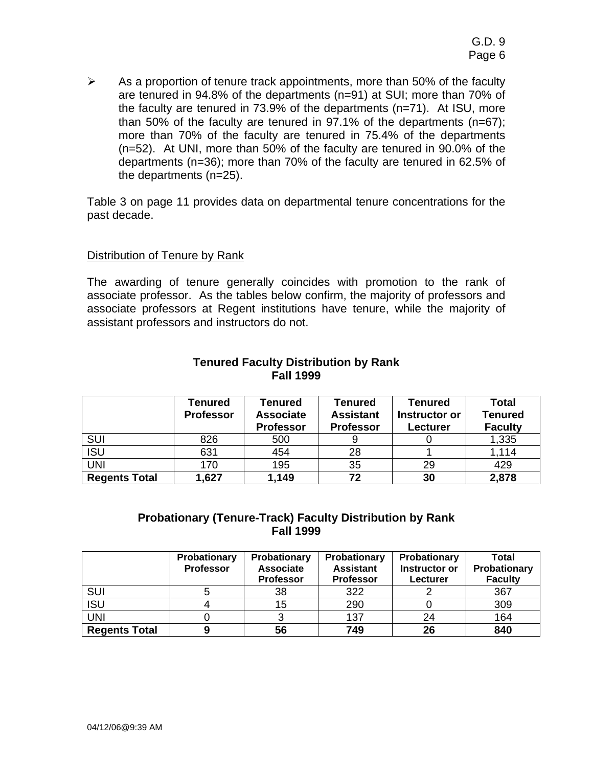$\triangleright$  As a proportion of tenure track appointments, more than 50% of the faculty are tenured in 94.8% of the departments (n=91) at SUI; more than 70% of the faculty are tenured in 73.9% of the departments (n=71). At ISU, more than 50% of the faculty are tenured in 97.1% of the departments (n=67); more than 70% of the faculty are tenured in 75.4% of the departments (n=52). At UNI, more than 50% of the faculty are tenured in 90.0% of the departments (n=36); more than 70% of the faculty are tenured in 62.5% of the departments (n=25).

Table 3 on page 11 provides data on departmental tenure concentrations for the past decade.

#### Distribution of Tenure by Rank

The awarding of tenure generally coincides with promotion to the rank of associate professor. As the tables below confirm, the majority of professors and associate professors at Regent institutions have tenure, while the majority of assistant professors and instructors do not.

|                      | Tenured<br><b>Professor</b> | Tenured<br><b>Associate</b><br><b>Professor</b> | Tenured<br><b>Assistant</b><br><b>Professor</b> | Tenured<br>Instructor or<br><b>Lecturer</b> | Total<br><b>Tenured</b><br><b>Faculty</b> |
|----------------------|-----------------------------|-------------------------------------------------|-------------------------------------------------|---------------------------------------------|-------------------------------------------|
| <b>SUI</b>           | 826                         | 500                                             |                                                 |                                             | 1,335                                     |
| <b>ISU</b>           | 631                         | 454                                             | 28                                              |                                             | 1,114                                     |
| <b>UNI</b>           | 170                         | 195                                             | 35                                              | 29                                          | 429                                       |
| <b>Regents Total</b> | 1,627                       | 1,149                                           | 72                                              | 30                                          | 2,878                                     |

## **Tenured Faculty Distribution by Rank Fall 1999**

# **Probationary (Tenure-Track) Faculty Distribution by Rank Fall 1999**

|                      | Probationary<br><b>Professor</b> | Probationary<br><b>Associate</b><br><b>Professor</b> | Probationary<br><b>Assistant</b><br><b>Professor</b> | Probationary<br>Instructor or<br>Lecturer | Total<br>Probationary<br><b>Faculty</b> |
|----------------------|----------------------------------|------------------------------------------------------|------------------------------------------------------|-------------------------------------------|-----------------------------------------|
| <b>SUI</b>           |                                  | 38                                                   | 322                                                  |                                           | 367                                     |
| <b>ISU</b>           |                                  | 15                                                   | 290                                                  |                                           | 309                                     |
| <b>UNI</b>           |                                  |                                                      | 137                                                  | 24                                        | 164                                     |
| <b>Regents Total</b> |                                  | 56                                                   | 749                                                  | 26                                        | 840                                     |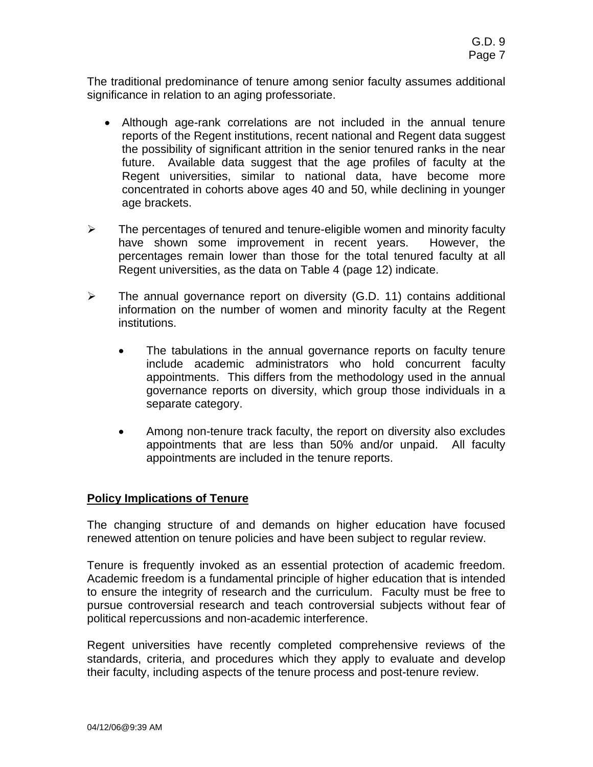The traditional predominance of tenure among senior faculty assumes additional significance in relation to an aging professoriate.

- Although age-rank correlations are not included in the annual tenure reports of the Regent institutions, recent national and Regent data suggest the possibility of significant attrition in the senior tenured ranks in the near future. Available data suggest that the age profiles of faculty at the Regent universities, similar to national data, have become more concentrated in cohorts above ages 40 and 50, while declining in younger age brackets.
- $\triangleright$  The percentages of tenured and tenure-eligible women and minority faculty have shown some improvement in recent years. However, the percentages remain lower than those for the total tenured faculty at all Regent universities, as the data on Table 4 (page 12) indicate.
- $\triangleright$  The annual governance report on diversity (G.D. 11) contains additional information on the number of women and minority faculty at the Regent institutions.
	- The tabulations in the annual governance reports on faculty tenure include academic administrators who hold concurrent faculty appointments. This differs from the methodology used in the annual governance reports on diversity, which group those individuals in a separate category.
	- Among non-tenure track faculty, the report on diversity also excludes appointments that are less than 50% and/or unpaid. All faculty appointments are included in the tenure reports.

## **Policy Implications of Tenure**

The changing structure of and demands on higher education have focused renewed attention on tenure policies and have been subject to regular review.

Tenure is frequently invoked as an essential protection of academic freedom. Academic freedom is a fundamental principle of higher education that is intended to ensure the integrity of research and the curriculum. Faculty must be free to pursue controversial research and teach controversial subjects without fear of political repercussions and non-academic interference.

Regent universities have recently completed comprehensive reviews of the standards, criteria, and procedures which they apply to evaluate and develop their faculty, including aspects of the tenure process and post-tenure review.